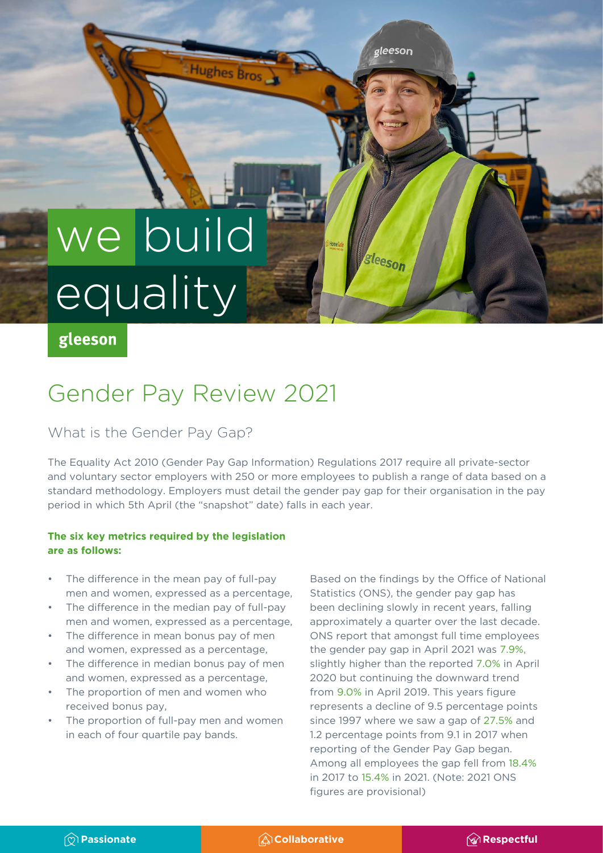# we build equality<sup></sup>

## gleeson

## Gender Pay Review 2021

Hughes Bros

## What is the Gender Pay Gap?

The Equality Act 2010 (Gender Pay Gap Information) Regulations 2017 require all private-sector and voluntary sector employers with 250 or more employees to publish a range of data based on a standard methodology. Employers must detail the gender pay gap for their organisation in the pay period in which 5th April (the "snapshot" date) falls in each year.

#### **The six key metrics required by the legislation are as follows:**

- The difference in the mean pay of full-pay men and women, expressed as a percentage,
- The difference in the median pay of full-pay men and women, expressed as a percentage,
- The difference in mean bonus pay of men and women, expressed as a percentage,
- The difference in median bonus pay of men and women, expressed as a percentage,
- The proportion of men and women who received bonus pay,
- The proportion of full-pay men and women in each of four quartile pay bands.

Based on the findings by the Office of National Statistics (ONS), the gender pay gap has been declining slowly in recent years, falling approximately a quarter over the last decade. ONS report that amongst full time employees the gender pay gap in April 2021 was 7.9%, slightly higher than the reported 7.0% in April 2020 but continuing the downward trend from 9.0% in April 2019. This years figure represents a decline of 9.5 percentage points since 1997 where we saw a gap of 27.5% and 1.2 percentage points from 9.1 in 2017 when reporting of the Gender Pay Gap began. Among all employees the gap fell from 18.4% in 2017 to 15.4% in 2021. (Note: 2021 ONS figures are provisional)

gleeson

sleeson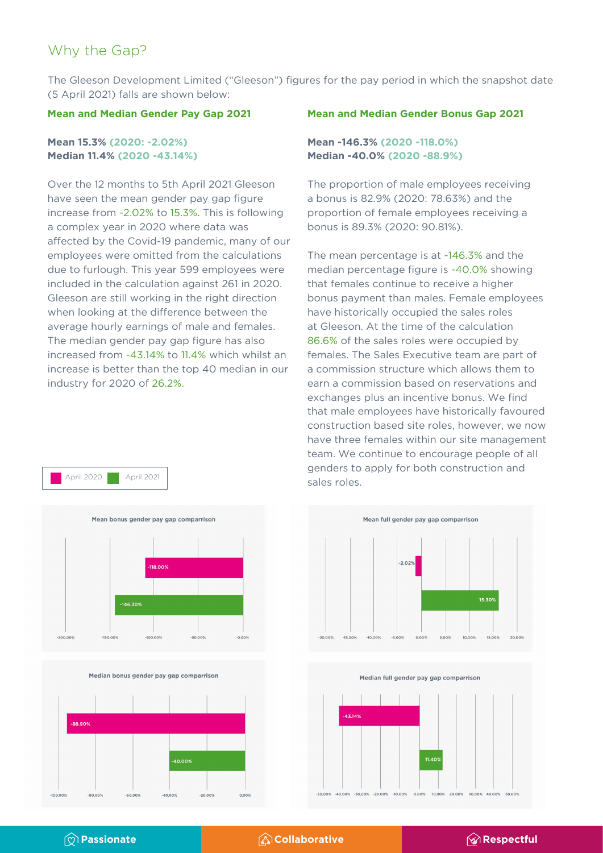## Why the Gap?

The Gleeson Development Limited ("Gleeson") figures for the pay period in which the snapshot date (5 April 2021) falls are shown below:

#### **Mean and Median Gender Pay Gap 2021**

#### **Mean 15.3% (2020: -2.02%) Median 11.4% (2020 -43.14%)**

Over the 12 months to 5th April 2021 Gleeson have seen the mean gender pay gap figure increase from -2.02% to 15.3%. This is following a complex year in 2020 where data was affected by the Covid-19 pandemic, many of our employees were omitted from the calculations due to furlough. This year 599 employees were included in the calculation against 261 in 2020. Gleeson are still working in the right direction when looking at the difference between the average hourly earnings of male and females. The median gender pay gap figure has also increased from -43.14% to 11.4% which whilst an increase is better than the top 40 median in our industry for 2020 of 26.2%.



Median bonus gender pay gap comparrison



#### **Mean and Median Gender Bonus Gap 2021**

#### **Mean -146.3% (2020 -118.0%) Median -40.0% (2020 -88.9%)**

The proportion of male employees receiving a bonus is 82.9% (2020: 78.63%) and the proportion of female employees receiving a bonus is 89.3% (2020: 90.81%).

The mean percentage is at -146.3% and the median percentage figure is -40.0% showing that females continue to receive a higher bonus payment than males. Female employees have historically occupied the sales roles at Gleeson. At the time of the calculation 86.6% of the sales roles were occupied by females. The Sales Executive team are part of a commission structure which allows them to earn a commission based on reservations and exchanges plus an incentive bonus. We find that male employees have historically favoured construction based site roles, however, we now have three females within our site management team. We continue to encourage people of all genders to apply for both construction and April 2020 **April 2021** April 2021 **April 2021 April 2021 April 2021 April 2021 April 2021 April 2021 April 2021 April 2021 April 2021 April 2021 April 2021 April 2021 April 2021 April 2021 Appl** 





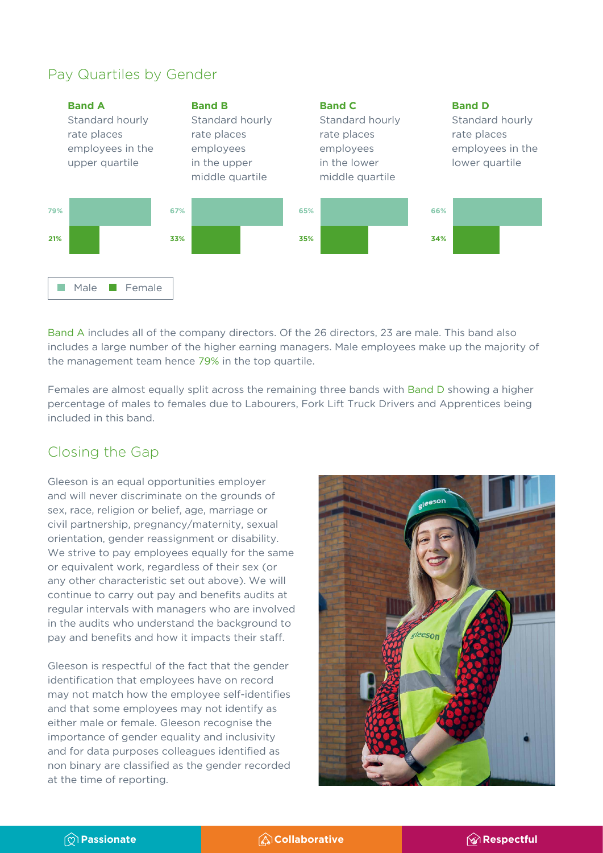## Pay Quartiles by Gender



Band A includes all of the company directors. Of the 26 directors, 23 are male. This band also includes a large number of the higher earning managers. Male employees make up the majority of the management team hence 79% in the top quartile.

Females are almost equally split across the remaining three bands with Band D showing a higher percentage of males to females due to Labourers, Fork Lift Truck Drivers and Apprentices being included in this band.

## Closing the Gap

Gleeson is an equal opportunities employer and will never discriminate on the grounds of sex, race, religion or belief, age, marriage or civil partnership, pregnancy/maternity, sexual orientation, gender reassignment or disability. We strive to pay employees equally for the same or equivalent work, regardless of their sex (or any other characteristic set out above). We will continue to carry out pay and benefits audits at regular intervals with managers who are involved in the audits who understand the background to pay and benefits and how it impacts their staff.

Gleeson is respectful of the fact that the gender identification that employees have on record may not match how the employee self-identifies and that some employees may not identify as either male or female. Gleeson recognise the importance of gender equality and inclusivity and for data purposes colleagues identified as non binary are classified as the gender recorded at the time of reporting.



*C* Passionate **Respectful** *Respectful*